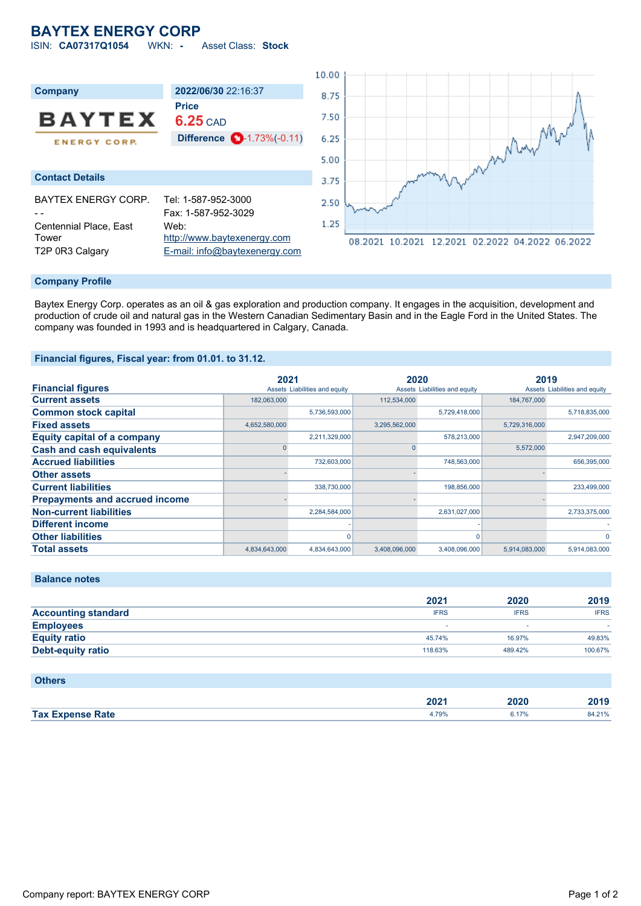# **BAYTEX ENERGY CORP**

ISIN: **CA07317Q1054** WKN: **-** Asset Class: **Stock**



### **Company Profile**

Baytex Energy Corp. operates as an oil & gas exploration and production company. It engages in the acquisition, development and production of crude oil and natural gas in the Western Canadian Sedimentary Basin and in the Eagle Ford in the United States. The company was founded in 1993 and is headquartered in Calgary, Canada.

### **Financial figures, Fiscal year: from 01.01. to 31.12.**

|                                       | 2021          |                               | 2020          |                               | 2019          |                               |
|---------------------------------------|---------------|-------------------------------|---------------|-------------------------------|---------------|-------------------------------|
| <b>Financial figures</b>              |               | Assets Liabilities and equity |               | Assets Liabilities and equity |               | Assets Liabilities and equity |
| <b>Current assets</b>                 | 182.063.000   |                               | 112,534,000   |                               | 184.767.000   |                               |
| <b>Common stock capital</b>           |               | 5,736,593,000                 |               | 5,729,418,000                 |               | 5,718,835,000                 |
| <b>Fixed assets</b>                   | 4,652,580,000 |                               | 3,295,562,000 |                               | 5,729,316,000 |                               |
| <b>Equity capital of a company</b>    |               | 2,211,329,000                 |               | 578.213.000                   |               | 2,947,209,000                 |
| <b>Cash and cash equivalents</b>      |               |                               |               |                               | 5,572,000     |                               |
| <b>Accrued liabilities</b>            |               | 732.603.000                   |               | 748,563,000                   |               | 656,395,000                   |
| <b>Other assets</b>                   |               |                               |               |                               |               |                               |
| <b>Current liabilities</b>            |               | 338,730,000                   |               | 198,856,000                   |               | 233,499,000                   |
| <b>Prepayments and accrued income</b> |               |                               |               |                               |               |                               |
| <b>Non-current liabilities</b>        |               | 2,284,584,000                 |               | 2,631,027,000                 |               | 2,733,375,000                 |
| <b>Different income</b>               |               |                               |               |                               |               |                               |
| <b>Other liabilities</b>              |               | $\Omega$                      |               |                               |               | $\Omega$                      |
| <b>Total assets</b>                   | 4,834,643,000 | 4,834,643,000                 | 3,408,096,000 | 3.408.096.000                 | 5,914,083,000 | 5,914,083,000                 |

| <b>Balance notes</b>       |             |             |             |
|----------------------------|-------------|-------------|-------------|
|                            | 2021        | 2020        | 2019        |
| <b>Accounting standard</b> | <b>IFRS</b> | <b>IFRS</b> | <b>IFRS</b> |
| <b>Employees</b>           | . .         |             |             |
| <b>Equity ratio</b>        | 45.74%      | 16.97%      | 49.83%      |
| <b>Debt-equity ratio</b>   | 118.63%     | 489.42%     | 100.67%     |

### **Others**

| ZUZ                  | 2021                   | . | . |
|----------------------|------------------------|---|---|
| Tax F<br><b>Data</b> | 79%<br>. <i>.</i><br>. |   |   |